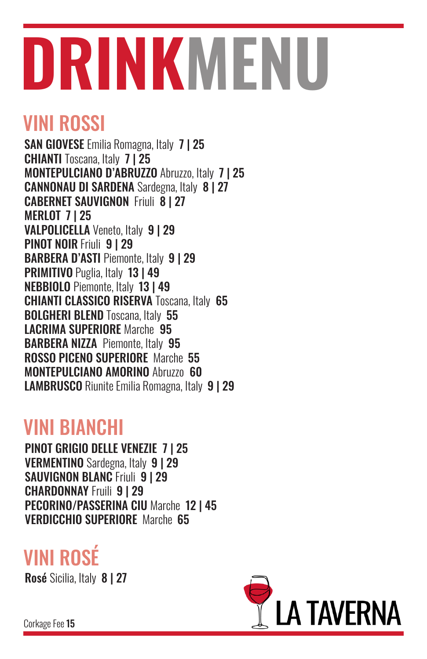# **DRINKMENU**

## VINI ROSSI

SAN GIOVESE Emilia Romagna, Italy 7 | 25 CHIANTI Toscana, Italy 7 | 25 MONTEPULCIANO D'ABRUZZO Abruzzo, Italy 7 | 25 CANNONAU DI SARDENA Sardegna, Italy 8 | 27 CABERNET SAUVIGNON Friuli 8 | 27 MERLOT 7 | 25 VALPOLICELLA Veneto, Italy 9 | 29 PINOT NOIR Friuli 9 | 29 BARBERA D'ASTI Piemonte, Italy 9 | 29 PRIMITIVO Puglia, Italy 13 | 49 NEBBIOLO Piemonte, Italy 13 | 49 CHIANTI CLASSICO RISERVA Toscana, Italy 65 BOLGHERI BLEND Toscana, Italy 55 LACRIMA SUPERIORE Marche 95 BARBERA NIZZA Piemonte, Italy 95 ROSSO PICENO SUPERIORE Marche 55 MONTEPULCIANO AMORINO Abruzzo 60 LAMBRUSCO Riunite Emilia Romagna, Italy 9 | 29

### VINI BIANCHI

PINOT GRIGIO DELLE VENEZIE 7 | 25 VERMENTINO Sardegna, Italy 9 | 29 SAUVIGNON BLANC Friuli 9 | 29 CHARDONNAY Fruili 9 | 29 PECORINO/PASSERINA CIU Marche 12 | 45 VERDICCHIO SUPERIORE Marche 65

# VINI ROSÉ

Rosé Sicilia, Italy 8 | 27



Corkage Fee 15